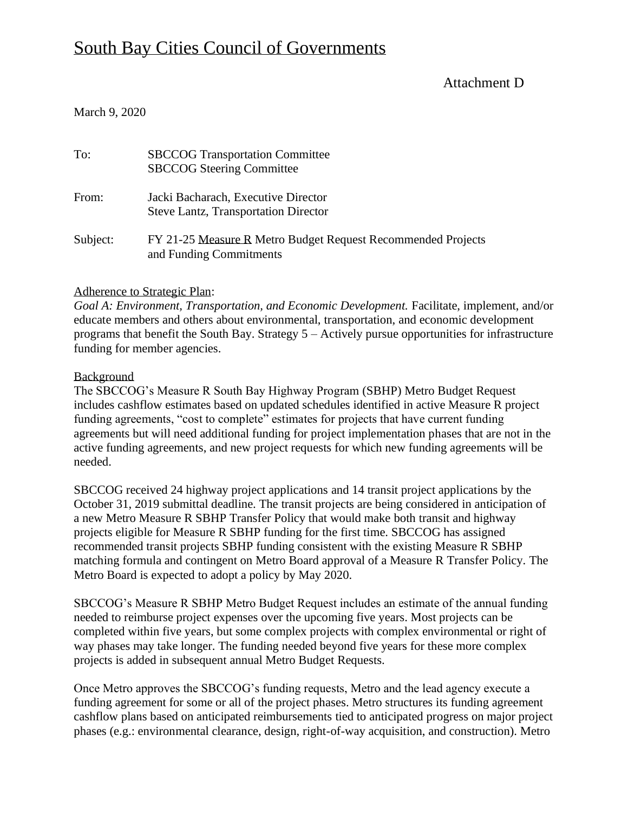## Attachment D

## March 9, 2020

| To:      | <b>SBCCOG Transportation Committee</b><br><b>SBCCOG Steering Committee</b>              |
|----------|-----------------------------------------------------------------------------------------|
| From:    | Jacki Bacharach, Executive Director<br><b>Steve Lantz, Transportation Director</b>      |
| Subject: | FY 21-25 Measure R Metro Budget Request Recommended Projects<br>and Funding Commitments |

## Adherence to Strategic Plan:

*Goal A: Environment, Transportation, and Economic Development.* Facilitate, implement, and/or educate members and others about environmental, transportation, and economic development programs that benefit the South Bay. Strategy 5 – Actively pursue opportunities for infrastructure funding for member agencies.

#### Background

The SBCCOG's Measure R South Bay Highway Program (SBHP) Metro Budget Request includes cashflow estimates based on updated schedules identified in active Measure R project funding agreements, "cost to complete" estimates for projects that have current funding agreements but will need additional funding for project implementation phases that are not in the active funding agreements, and new project requests for which new funding agreements will be needed.

SBCCOG received 24 highway project applications and 14 transit project applications by the October 31, 2019 submittal deadline. The transit projects are being considered in anticipation of a new Metro Measure R SBHP Transfer Policy that would make both transit and highway projects eligible for Measure R SBHP funding for the first time. SBCCOG has assigned recommended transit projects SBHP funding consistent with the existing Measure R SBHP matching formula and contingent on Metro Board approval of a Measure R Transfer Policy. The Metro Board is expected to adopt a policy by May 2020.

SBCCOG's Measure R SBHP Metro Budget Request includes an estimate of the annual funding needed to reimburse project expenses over the upcoming five years. Most projects can be completed within five years, but some complex projects with complex environmental or right of way phases may take longer. The funding needed beyond five years for these more complex projects is added in subsequent annual Metro Budget Requests.

Once Metro approves the SBCCOG's funding requests, Metro and the lead agency execute a funding agreement for some or all of the project phases. Metro structures its funding agreement cashflow plans based on anticipated reimbursements tied to anticipated progress on major project phases (e.g.: environmental clearance, design, right-of-way acquisition, and construction). Metro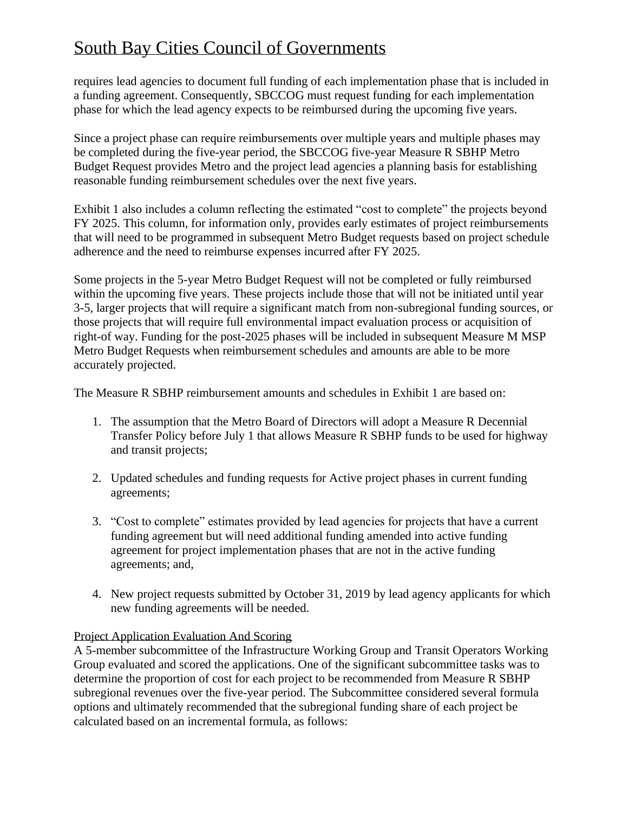requires lead agencies to document full funding of each implementation phase that is included in a funding agreement. Consequently, SBCCOG must request funding for each implementation phase for which the lead agency expects to be reimbursed during the upcoming five years.

Since a project phase can require reimbursements over multiple years and multiple phases may be completed during the five-year period, the SBCCOG five-year Measure R SBHP Metro Budget Request provides Metro and the project lead agencies a planning basis for establishing reasonable funding reimbursement schedules over the next five years.

Exhibit 1 also includes a column reflecting the estimated "cost to complete" the projects beyond FY 2025. This column, for information only, provides early estimates of project reimbursements that will need to be programmed in subsequent Metro Budget requests based on project schedule adherence and the need to reimburse expenses incurred after FY 2025.

Some projects in the 5-year Metro Budget Request will not be completed or fully reimbursed within the upcoming five years. These projects include those that will not be initiated until year 3-5, larger projects that will require a significant match from non-subregional funding sources, or those projects that will require full environmental impact evaluation process or acquisition of right-of way. Funding for the post-2025 phases will be included in subsequent Measure M MSP Metro Budget Requests when reimbursement schedules and amounts are able to be more accurately projected.

The Measure R SBHP reimbursement amounts and schedules in Exhibit 1 are based on:

- 1. The assumption that the Metro Board of Directors will adopt a Measure R Decennial Transfer Policy before July 1 that allows Measure R SBHP funds to be used for highway and transit projects;
- 2. Updated schedules and funding requests for Active project phases in current funding agreements;
- 3. "Cost to complete" estimates provided by lead agencies for projects that have a current funding agreement but will need additional funding amended into active funding agreement for project implementation phases that are not in the active funding agreements; and,
- 4. New project requests submitted by October 31, 2019 by lead agency applicants for which new funding agreements will be needed.

## Project Application Evaluation And Scoring

A 5-member subcommittee of the Infrastructure Working Group and Transit Operators Working Group evaluated and scored the applications. One of the significant subcommittee tasks was to determine the proportion of cost for each project to be recommended from Measure R SBHP subregional revenues over the five-year period. The Subcommittee considered several formula options and ultimately recommended that the subregional funding share of each project be calculated based on an incremental formula, as follows: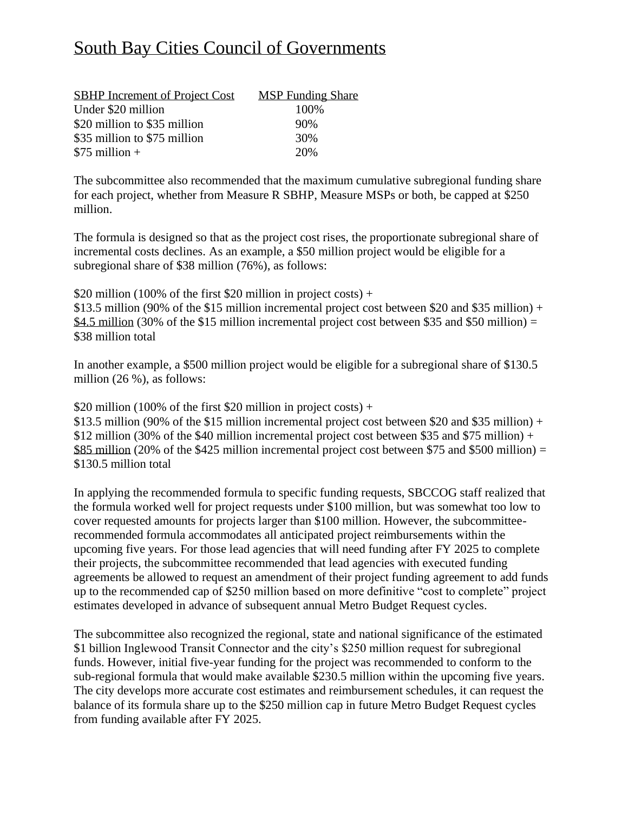| <b>SBHP</b> Increment of Project Cost | <b>MSP</b> Funding Share |
|---------------------------------------|--------------------------|
| Under \$20 million                    | 100\%                    |
| \$20 million to \$35 million          | 90%                      |
| \$35 million to \$75 million          | 30%                      |
| $$75$ million +                       | 20%                      |

The subcommittee also recommended that the maximum cumulative subregional funding share for each project, whether from Measure R SBHP, Measure MSPs or both, be capped at \$250 million.

The formula is designed so that as the project cost rises, the proportionate subregional share of incremental costs declines. As an example, a \$50 million project would be eligible for a subregional share of \$38 million (76%), as follows:

\$20 million (100% of the first \$20 million in project costs) +

\$13.5 million (90% of the \$15 million incremental project cost between \$20 and \$35 million) + \$4.5 million (30% of the \$15 million incremental project cost between \$35 and \$50 million) = \$38 million total

In another example, a \$500 million project would be eligible for a subregional share of \$130.5 million (26 %), as follows:

\$20 million (100% of the first \$20 million in project costs) +

\$13.5 million (90% of the \$15 million incremental project cost between \$20 and \$35 million) + \$12 million (30% of the \$40 million incremental project cost between \$35 and \$75 million) + \$85 million (20% of the \$425 million incremental project cost between \$75 and \$500 million) = \$130.5 million total

In applying the recommended formula to specific funding requests, SBCCOG staff realized that the formula worked well for project requests under \$100 million, but was somewhat too low to cover requested amounts for projects larger than \$100 million. However, the subcommitteerecommended formula accommodates all anticipated project reimbursements within the upcoming five years. For those lead agencies that will need funding after FY 2025 to complete their projects, the subcommittee recommended that lead agencies with executed funding agreements be allowed to request an amendment of their project funding agreement to add funds up to the recommended cap of \$250 million based on more definitive "cost to complete" project estimates developed in advance of subsequent annual Metro Budget Request cycles.

The subcommittee also recognized the regional, state and national significance of the estimated \$1 billion Inglewood Transit Connector and the city's \$250 million request for subregional funds. However, initial five-year funding for the project was recommended to conform to the sub-regional formula that would make available \$230.5 million within the upcoming five years. The city develops more accurate cost estimates and reimbursement schedules, it can request the balance of its formula share up to the \$250 million cap in future Metro Budget Request cycles from funding available after FY 2025.